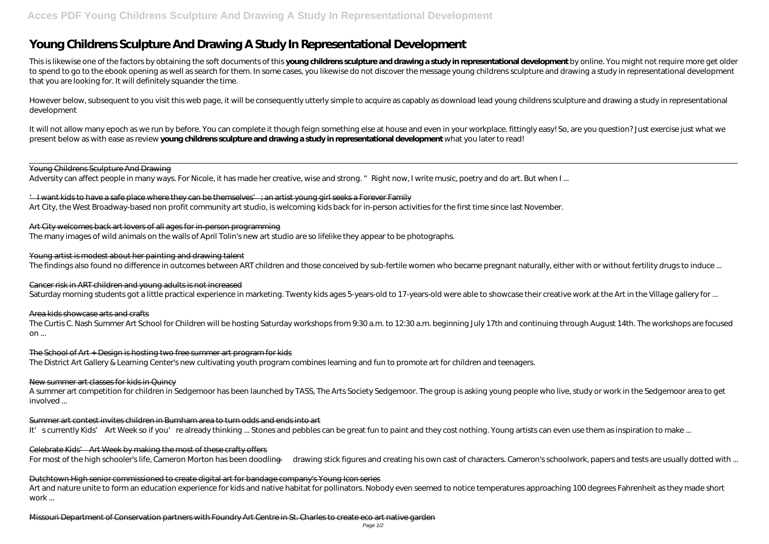# **Young Childrens Sculpture And Drawing A Study In Representational Development**

This is likewise one of the factors by obtaining the soft documents of this **young childrens sculpture and drawing a study in representational development** by online. You might not require more get older to spend to go to the ebook opening as well as search for them. In some cases, you likewise do not discover the message young childrens sculpture and drawing a study in representational development that you are looking for. It will definitely squander the time.

However below, subsequent to you visit this web page, it will be consequently utterly simple to acquire as capably as download lead young childrens sculpture and drawing a study in representational development

 $\perp$  I want kids to have a safe place where they can be themselves  $\perp$  an artist young girl seeks a Forever Family Art City, the West Broadway-based non profit community art studio, is welcoming kids back for in-person activities for the first time since last November.

Young artist is modest about her painting and drawing talent The findings also found no difference in outcomes between ART children and those conceived by sub-fertile women who became pregnant naturally, either with or without fertility drugs to induce ...

It will not allow many epoch as we run by before. You can complete it though feign something else at house and even in your workplace. fittingly easy! So, are you question? Just exercise just what we present below as with ease as review **young childrens sculpture and drawing a study in representational development** what you later to read!

Young Childrens Sculpture And Drawing

Adversity can affect people in many ways. For Nicole, it has made her creative, wise and strong. "Right now, I write music, poetry and do art. But when I ...

Art City welcomes back art lovers of all ages for in-person programming The many images of wild animals on the walls of April Tolin's new art studio are so lifelike they appear to be photographs.

Art and nature unite to form an education experience for kids and native habitat for pollinators. Nobody even seemed to notice temperatures approaching 100 degrees Fahrenheit as they made short work ...

Cancer risk in ART children and young adults is not increased Saturday morning students got a little practical experience in marketing. Twenty kids ages 5-years-old to 17-years-old were able to showcase their creative work at the Art in the Village gallery for ...

Area kids showcase arts and crafts

The Curtis C. Nash Summer Art School for Children will be hosting Saturday workshops from 9:30 a.m. to 12:30 a.m. beginning July 17th and continuing through August 14th. The workshops are focused on ...

The School of Art + Design is hosting two free summer art program for kids The District Art Gallery & Learning Center's new cultivating youth program combines learning and fun to promote art for children and teenagers.

### New summer art classes for kids in Quincy

A summer art competition for children in Sedgemoor has been launched by TASS, The Arts Society Sedgemoor. The group is asking young people who live, study or work in the Sedgemoor area to get involved ...

Summer art contest invites children in Burnham area to turn odds and ends into art

It' scurrently Kids' Art Week so if you're already thinking ... Stones and pebbles can be great fun to paint and they cost nothing. Young artists can even use them as inspiration to make ...

Celebrate Kids' Art Week by making the most of these crafty offers

For most of the high schooler's life, Cameron Morton has been doodling — drawing stick figures and creating his own cast of characters. Cameron's schoolwork, papers and tests are usually dotted with ...

Dutchtown High senior commissioned to create digital art for bandage company's Young Icon series

Missouri Department of Conservation partners with Foundry Art Centre in St. Charles to create eco art native garden